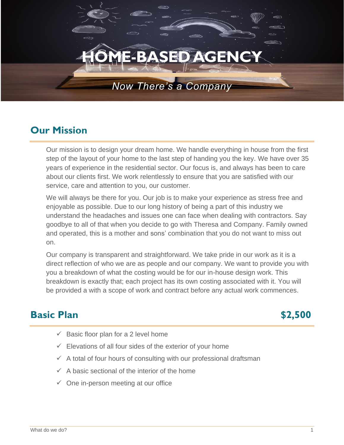# **SED AGENCY**

# *Now There's a Company*

# **Our Mission**

Our mission is to design your dream home. We handle everything in house from the first step of the layout of your home to the last step of handing you the key. We have over 35 years of experience in the residential sector. Our focus is, and always has been to care about our clients first. We work relentlessly to ensure that you are satisfied with our service, care and attention to you, our customer.

We will always be there for you. Our job is to make your experience as stress free and enjoyable as possible. Due to our long history of being a part of this industry we understand the headaches and issues one can face when dealing with contractors. Say goodbye to all of that when you decide to go with Theresa and Company. Family owned and operated, this is a mother and sons' combination that you do not want to miss out on.

Our company is transparent and straightforward. We take pride in our work as it is a direct reflection of who we are as people and our company. We want to provide you with you a breakdown of what the costing would be for our in-house design work. This breakdown is exactly that; each project has its own costing associated with it. You will be provided a with a scope of work and contract before any actual work commences.

### **Basic Plan \$2,500**

- $\checkmark$  Basic floor plan for a 2 level home
- $\checkmark$  Elevations of all four sides of the exterior of your home
- $\checkmark$  A total of four hours of consulting with our professional draftsman
- $\checkmark$  A basic sectional of the interior of the home
- $\checkmark$  One in-person meeting at our office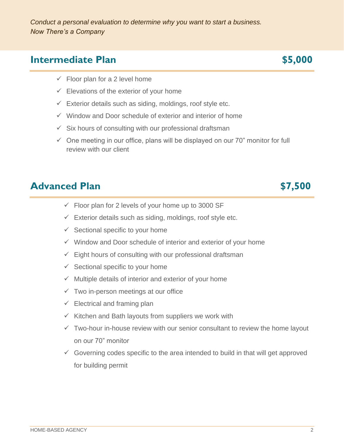### **Intermediate Plan \$5,000**

- $\checkmark$  Floor plan for a 2 level home
- $\checkmark$  Elevations of the exterior of your home
- $\checkmark$  Exterior details such as siding, moldings, roof style etc.
- $\checkmark$  Window and Door schedule of exterior and interior of home
- $\checkmark$  Six hours of consulting with our professional draftsman
- $\checkmark$  One meeting in our office, plans will be displayed on our 70" monitor for full review with our client

### **Advanced Plan 57,500**

- $\checkmark$  Floor plan for 2 levels of your home up to 3000 SF
- $\checkmark$  Exterior details such as siding, moldings, roof style etc.
- $\checkmark$  Sectional specific to your home
- ✓ Window and Door schedule of interior and exterior of your home
- $\checkmark$  Eight hours of consulting with our professional draftsman
- $\checkmark$  Sectional specific to your home
- $\checkmark$  Multiple details of interior and exterior of your home
- $\checkmark$  Two in-person meetings at our office
- $\checkmark$  Electrical and framing plan
- $\checkmark$  Kitchen and Bath layouts from suppliers we work with
- $\checkmark$  Two-hour in-house review with our senior consultant to review the home layout on our 70" monitor
- $\checkmark$  Governing codes specific to the area intended to build in that will get approved for building permit